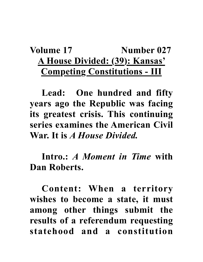## Volume 17 **Number 027 A House Divided: (39): Kansas' Competing Constitutions - III**

**Lead: One hundred and fifty years ago the Republic was facing its greatest crisis. This continuing series examines the American Civil War. It is** *A House Divided.*

**Intro.:** *A Moment in Time* **with Dan Roberts.**

**Content: When a territory wishes to become a state, it must among other things submit the results of a referendum requesting statehood and a constitution**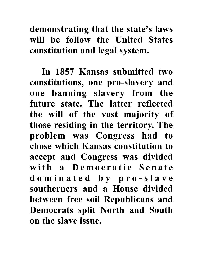**demonstrating that the state's laws will be follow the United States constitution and legal system.** 

**In 1857 Kansas submitted two constitutions, one pro-slavery and one banning slavery from the future state. The latter reflected the will of the vast majority of those residing in the territory. The problem was Congress had to chose which Kansas constitution to accept and Congress was divided**  with a Democratic Senate **d o m i n a t e d b y p r o - s l a v e southerners and a House divided between free soil Republicans and Democrats split North and South on the slave issue.**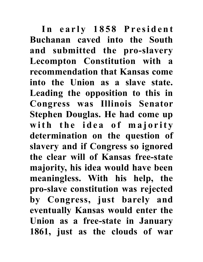In early 1858 President **Buchanan caved into the South and submitted the pro-slavery Lecompton Constitution with a recommendation that Kansas come into the Union as a slave state. Leading the opposition to this in Congress was Illinois Senator Stephen Douglas. He had come up**  with the idea of majority **determination on the question of slavery and if Congress so ignored the clear will of Kansas free-state majority, his idea would have been meaningless. With his help, the pro-slave constitution was rejected by Congress, just barely and eventually Kansas would enter the Union as a free-state in January 1861, just as the clouds of war**